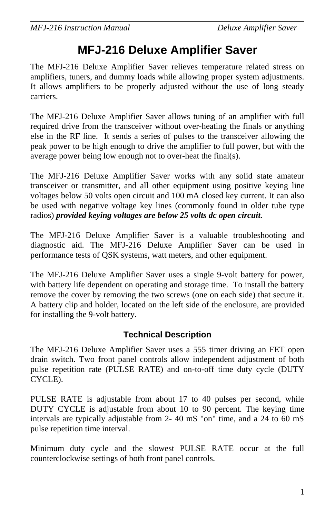# **MFJ-216 Deluxe Amplifier Saver**

The MFJ-216 Deluxe Amplifier Saver relieves temperature related stress on amplifiers, tuners, and dummy loads while allowing proper system adjustments. It allows amplifiers to be properly adjusted without the use of long steady carriers.

The MFJ-216 Deluxe Amplifier Saver allows tuning of an amplifier with full required drive from the transceiver without over-heating the finals or anything else in the RF line. It sends <sup>a</sup> series of pulses to the transceiver allowing the peak power to be high enough to drive the amplifier to full power, but with the average power being low enough not to over-heat the final(s).

The MFJ-216 Deluxe Amplifier Saver works with any solid state amateur transceiver or transmitter, and all other equipment using positive keying line voltages below 50 volts open circuit and 100 mA closed key current. It can also be used with negative voltage key lines (commonly found in older tube type radios) *provided keying voltages are below 25 volts dc open circuit*.

The MFJ-216 Deluxe Amplifier Saver is <sup>a</sup> valuable troubleshooting and diagnostic aid. The MFJ-216 Deluxe Amplifier Saver can be used in performance tests of QSK systems, watt meters, and other equipment.

The MFJ-216 Deluxe Amplifier Saver uses <sup>a</sup> single 9-volt battery for power, with battery life dependent on operating and storage time. To install the battery remove the cover by removing the two screws (one on each side) that secure it. A battery clip and holder, located on the left side of the enclosure, are provided for installing the 9-volt battery.

### **Technical Description**

The MFJ-216 Deluxe Amplifier Saver uses <sup>a</sup> 555 timer driving an FET open drain switch. Two front panel controls allow independent adjustment of both pulse repetition rate (PULSE RATE) and on-to-off time duty cycle (DUTY CYCLE).

PULSE RATE is adjustable from about 17 to 40 pulses per second, while DUTY CYCLE is adjustable from about 10 to 90 percent. The keying time intervals are typically adjustable from 2- 40 mS "on" time, and <sup>a</sup> 24 to 60 mS pulse repetition time interval.

Minimum duty cycle and the slowest PULSE RATE occur at the full counterclockwise settings of both front panel controls.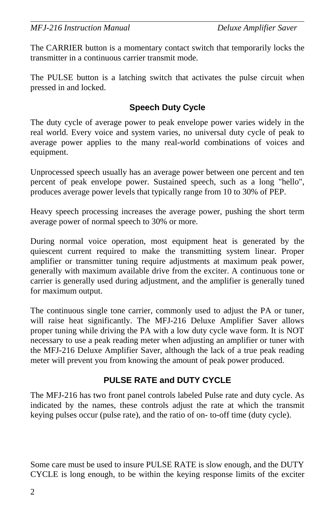The CARRIER button is <sup>a</sup> momentary contact switch that temporarily locks the transmitter in a continuous carrier transmit mode.

The PULSE button is <sup>a</sup> latching switch that activates the pulse circuit when pressed in and locked.

## **Speech Duty Cycle**

The duty cycle of average power to peak envelope power varies widely in the real world. Every voice and system varies, no universal duty cycle of peak to average power applies to the many real-world combinations of voices and equipment.

Unprocessed speech usually has an average power between one percen<sup>t</sup> and ten percen<sup>t</sup> of peak envelope power. Sustained speech, such as <sup>a</sup> long "hello", produces average power levels that typically range from 10 to 30% of PEP.

Heavy speech processing increases the average power, pushing the short term average power of normal speech to 30% or more.

During normal voice operation, most equipment heat is generated by the quiescent current required to make the transmitting system linear. Proper amplifier or transmitter tuning require adjustments at maximum peak power, generally with maximum available drive from the exciter. A continuous tone or carrier is generally used during adjustment, and the amplifier is generally tuned for maximum output.

The continuous single tone carrier, commonly used to adjust the PA or tuner, will raise heat significantly. The MFJ-216 Deluxe Amplifier Saver allows proper tuning while driving the PA with <sup>a</sup> low duty cycle wave form. It is NOT necessary to use <sup>a</sup> peak reading meter when adjusting an amplifier or tuner with the MFJ-216 Deluxe Amplifier Saver, although the lack of <sup>a</sup> true peak reading meter will prevent you from knowing the amount of peak power produced.

## **PULSE RATE and DUTY CYCLE**

The MFJ-216 has two front panel controls labeled Pulse rate and duty cycle. As indicated by the names, these controls adjust the rate at which the transmit keying pulses occur (pulse rate), and the ratio of on- to-off time (duty cycle).

Some care must be used to insure PULSE RATE is slow enough, and the DUTY CYCLE is long enough, to be within the keying response limits of the exciter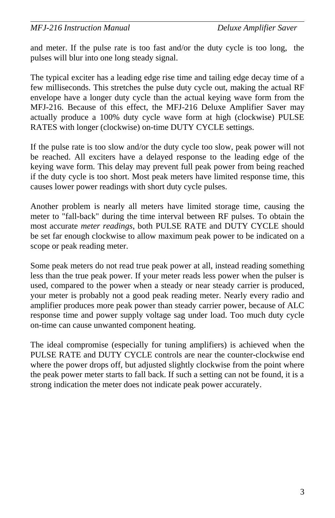and meter. If the pulse rate is too fast and/or the duty cycle is too long, the pulses will blur into one long steady signal.

The typical exciter has <sup>a</sup> leading edge rise time and tailing edge decay time of <sup>a</sup> few milliseconds. This stretches the pulse duty cycle out, making the actual RF envelope have <sup>a</sup> longer duty cycle than the actual keying wave form from the MFJ-216. Because of this effect, the MFJ-216 Deluxe Amplifier Saver may actually produce <sup>a</sup> 100% duty cycle wave form at high (clockwise) PULSE RATES with longer (clockwise) on-time DUTY CYCLE settings.

If the pulse rate is too slow and/or the duty cycle too slow, peak power will not be reached. All exciters have <sup>a</sup> delayed response to the leading edge of the keying wave form. This delay may preven<sup>t</sup> full peak power from being reached if the duty cycle is too short. Most peak meters have limited response time, this causes lower power readings with short duty cycle pulses.

Another problem is nearly all meters have limited storage time, causing the meter to "fall-back" during the time interval between RF pulses. To obtain the most accurate *meter readings*, both PULSE RATE and DUTY CYCLE should be set far enough clockwise to allow maximum peak power to be indicated on <sup>a</sup> scope or peak reading meter.

Some peak meters do not read true peak power at all, instead reading something less than the true peak power. If your meter reads less power when the pulser is used, compared to the power when <sup>a</sup> steady or near steady carrier is produced, your meter is probably not <sup>a</sup> good peak reading meter. Nearly every radio and amplifier produces more peak power than steady carrier power, because of ALC response time and power supply voltage sag under load. Too much duty cycle on-time can cause unwanted component heating.

The ideal compromise (especially for tuning amplifiers) is achieved when the PULSE RATE and DUTY CYCLE controls are near the counter-clockwise endwhere the power drops off, but adjusted slightly clockwise from the point where the peak power meter starts to fall back. If such <sup>a</sup> setting can not be found, it is <sup>a</sup> strong indication the meter does not indicate peak power accurately.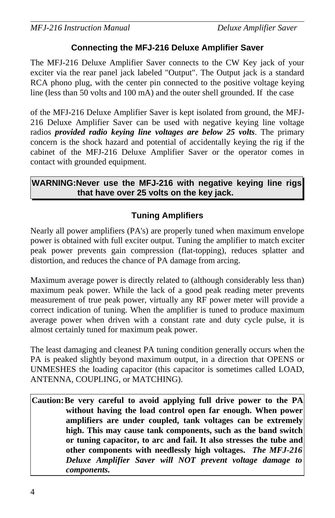#### **Connecting the MFJ-216 Deluxe Amplifier Saver**

The MFJ-216 Deluxe Amplifier Saver connects to the CW Key jack of your exciter via the rear panel jack labeled "Output". The Output jack is <sup>a</sup> standard RCA phono plug, with the center pin connected to the positive voltage keying line (less than 50 volts and 100 mA) and the outer shell grounded. If the case

of the MFJ-216 Deluxe Amplifier Saver is kept isolated from ground, the MFJ-216 Deluxe Amplifier Saver can be used with negative keying line voltage radios *provided radio keying line voltages are below 25 volts*. The primary concern is the shock hazard and potential of accidentally keying the rig if the cabinet of the MFJ-216 Deluxe Amplifier Saver or the operator comes in contact with grounded equipment.

**WARNING:Never use the MFJ-216 with negative keying line rigs that have over 25 volts on the key jack.**

## **Tuning Amplifiers**

Nearly all power amplifiers (PA's) are properly tuned when maximum envelope power is obtained with full exciter output. Tuning the amplifier to match exciter peak power prevents gain compression (flat-topping), reduces splatter and distortion, and reduces the chance of PA damage from arcing.

Maximum average power is directly related to (although considerably less than) maximum peak power. While the lack of <sup>a</sup> good peak reading meter prevents measurement of true peak power, virtually any RF power meter will provide <sup>a</sup> correct indication of tuning. When the amplifier is tuned to produce maximum average power when driven with <sup>a</sup> constant rate and duty cycle pulse, it is almost certainly tuned for maximum peak power.

The least damaging and cleanest PA tuning condition generally occurs when the PA is peaked slightly beyond maximum output, in <sup>a</sup> direction that OPENS or UNMESHES the loading capacitor (this capacitor is sometimes called LOAD, ANTENNA, COUPLING, or MATCHING).

Caution: Be very careful to avoid applying full drive power to the PA **without having the load control open far enough. When power amplifiers are under coupled, tank voltages can be extremely high. This may cause tank components, such as the band switch** or tuning capacitor, to arc and fail. It also stresses the tube and **other components with needlessly high voltages.** *The MFJ-216 Deluxe Amplifier Saver will NOT prevent voltage damage to components.*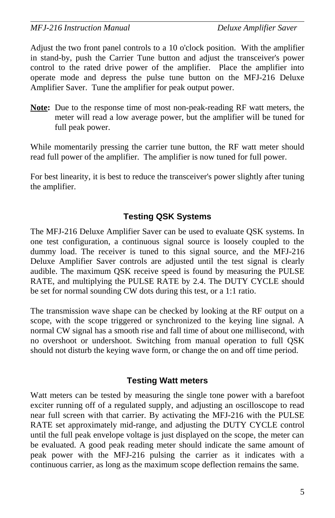Adjust the two front panel controls to <sup>a</sup> 10 <sup>o</sup>'clock position. With the amplifier in stand-by, push the Carrier Tune button and adjust the transceiver's power control to the rated drive power of the amplifier. Place the amplifier into operate mode and depress the pulse tune button on the MFJ-216 Deluxe Amplifier Saver. Tune the amplifier for peak output power.

**Note:** Due to the response time of most non-peak-reading RF watt meters, the meter will read <sup>a</sup> low average power, but the amplifier will be tuned for full peak power.

While momentarily pressing the carrier tune button, the RF watt meter should read full power of the amplifier. The amplifier is now tuned for full power.

For best linearity, it is best to reduce the transceiver's power slightly after tuning the amplifier.

#### **Testing QSK Systems**

The MFJ-216 Deluxe Amplifier Saver can be used to evaluate QSK systems. In one test configuration, <sup>a</sup> continuous signal source is loosely coupled to the dummy load. The receiver is tuned to this signal source, and the MFJ-216 Deluxe Amplifier Saver controls are adjusted until the test signal is clearly audible. The maximum QSK receive speed is found by measuring the PULSE RATE, and multiplying the PULSE RATE by 2.4. The DUTY CYCLE should be set for normal sounding CW dots during this test, or a 1:1 ratio.

The transmission wave shape can be checked by looking at the RF output on <sup>a</sup> scope, with the scope triggered or synchronized to the keying line signal. A normal CW signal has <sup>a</sup> smooth rise and fall time of about one millisecond, with no overshoot or undershoot. Switching from manual operation to full QSK should not disturb the keying wave form, or change the on and off time period.

#### **Testing Watt meters**

Watt meters can be tested by measuring the single tone power with <sup>a</sup> barefoot exciter running off of <sup>a</sup> regulated supply, and adjusting an oscilloscope to read near full screen with that carrier. By activating the MFJ-216 with the PULSE RATE set approximately mid-range, and adjusting the DUTY CYCLE control until the full peak envelope voltage is just displayed on the scope, the meter can be evaluated. A good peak reading meter should indicate the same amount of peak power with the MFJ-216 pulsing the carrier as it indicates with <sup>a</sup> continuous carrier, as long as the maximum scope deflection remains the same.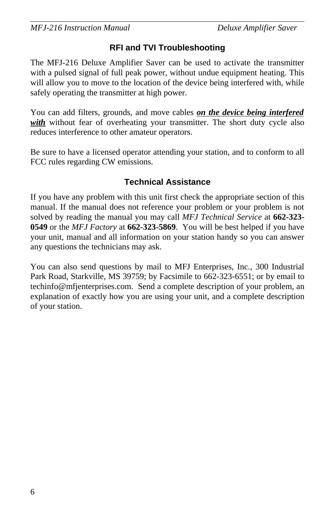### **RFI and TVI Troubleshooting**

The MFJ-216 Deluxe Amplifier Saver can be used to activate the transmitter with <sup>a</sup> pulsed signal of full peak power, without undue equipment heating. This will allow you to move to the location of the device being interfered with, while safely operating the transmitter at high power.

You can add filters, grounds, and move cables *on the device being interfered with* without fear of overheating your transmitter. The short duty cycle also reduces interference to other amateur operators.

Be sure to have <sup>a</sup> licensed operator attending your station, and to conform to all FCC rules regarding CW emissions.

#### **Technical Assistance**

If you have any problem with this unit first check the appropriate section of this manual. If the manual does not reference your problem or your problem is not solved by reading the manual you may call *MFJ Technical Service* at **662-323- 0549** or the *MFJ Factory* at **662-323-5869**. You will be best helped if you have your unit, manual and all information on your station handy so you can answer any questions the technicians may ask.

You can also send questions by mail to MFJ Enterprises, Inc., 300 Industrial Park Road, Starkville, MS 39759; by Facsimile to 662-323-6551; or by email to techinfo@mfjenterprises.com. Send <sup>a</sup> complete description of your problem, an explanation of exactly how you are using your unit, and <sup>a</sup> complete description of your station.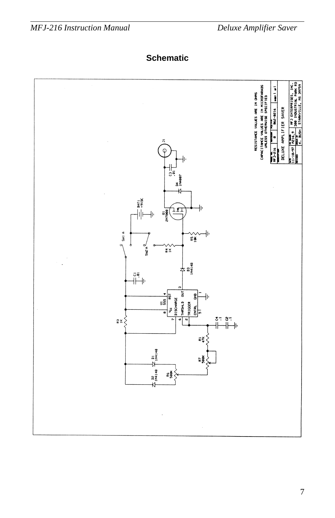**Schematic**